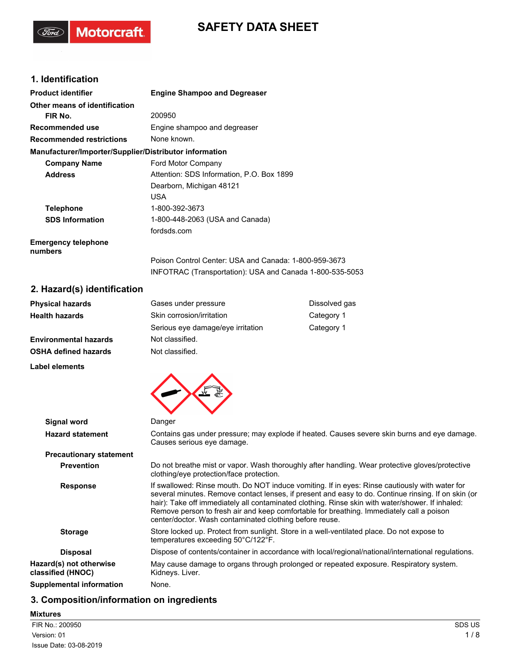# **SAFETY DATA SHEET**

# **1. Identification**

(Ford)

Motorcraft.

| <b>Product identifier</b>                              | <b>Engine Shampoo and Degreaser</b>                                                                               |
|--------------------------------------------------------|-------------------------------------------------------------------------------------------------------------------|
| Other means of identification                          |                                                                                                                   |
| FIR No.                                                | 200950                                                                                                            |
| Recommended use                                        | Engine shampoo and degreaser                                                                                      |
| <b>Recommended restrictions</b>                        | None known.                                                                                                       |
| Manufacturer/Importer/Supplier/Distributor information |                                                                                                                   |
| <b>Company Name</b>                                    | Ford Motor Company                                                                                                |
| <b>Address</b>                                         | Attention: SDS Information, P.O. Box 1899                                                                         |
|                                                        | Dearborn, Michigan 48121                                                                                          |
|                                                        | <b>USA</b>                                                                                                        |
| <b>Telephone</b>                                       | 1-800-392-3673                                                                                                    |
| <b>SDS Information</b>                                 | 1-800-448-2063 (USA and Canada)                                                                                   |
|                                                        | fordsds.com                                                                                                       |
| <b>Emergency telephone</b><br>numbers                  |                                                                                                                   |
|                                                        | Poison Control Center: USA and Canada: 1-800-959-3673<br>INFOTRAC (Transportation): USA and Canada 1-800-535-5053 |
|                                                        |                                                                                                                   |

### **2. Hazard(s) identification**

| <b>Physical hazards</b>      | Gases under pressure              | Dissolved gas |
|------------------------------|-----------------------------------|---------------|
| <b>Health hazards</b>        | Skin corrosion/irritation         | Category 1    |
|                              | Serious eye damage/eye irritation | Category 1    |
| <b>Environmental hazards</b> | Not classified.                   |               |
| <b>OSHA defined hazards</b>  | Not classified.                   |               |
| Label elements               |                                   |               |



| Signal word                                  | Danger                                                                                                                                                                                                                                                                                                                                                                                                                                                           |  |  |
|----------------------------------------------|------------------------------------------------------------------------------------------------------------------------------------------------------------------------------------------------------------------------------------------------------------------------------------------------------------------------------------------------------------------------------------------------------------------------------------------------------------------|--|--|
| <b>Hazard statement</b>                      | Contains gas under pressure; may explode if heated. Causes severe skin burns and eye damage.<br>Causes serious eye damage.                                                                                                                                                                                                                                                                                                                                       |  |  |
| <b>Precautionary statement</b>               |                                                                                                                                                                                                                                                                                                                                                                                                                                                                  |  |  |
| <b>Prevention</b>                            | Do not breathe mist or vapor. Wash thoroughly after handling. Wear protective gloves/protective<br>clothing/eye protection/face protection.                                                                                                                                                                                                                                                                                                                      |  |  |
| <b>Response</b>                              | If swallowed: Rinse mouth. Do NOT induce vomiting. If in eyes: Rinse cautiously with water for<br>several minutes. Remove contact lenses, if present and easy to do. Continue rinsing. If on skin (or<br>hair): Take off immediately all contaminated clothing. Rinse skin with water/shower. If inhaled:<br>Remove person to fresh air and keep comfortable for breathing. Immediately call a poison<br>center/doctor. Wash contaminated clothing before reuse. |  |  |
| <b>Storage</b>                               | Store locked up. Protect from sunlight. Store in a well-ventilated place. Do not expose to<br>temperatures exceeding 50°C/122°F.                                                                                                                                                                                                                                                                                                                                 |  |  |
| <b>Disposal</b>                              | Dispose of contents/container in accordance with local/regional/national/international regulations.                                                                                                                                                                                                                                                                                                                                                              |  |  |
| Hazard(s) not otherwise<br>classified (HNOC) | May cause damage to organs through prolonged or repeated exposure. Respiratory system.<br>Kidneys. Liver.                                                                                                                                                                                                                                                                                                                                                        |  |  |
| Supplemental information                     | None.                                                                                                                                                                                                                                                                                                                                                                                                                                                            |  |  |

# **3. Composition/information on ingredients**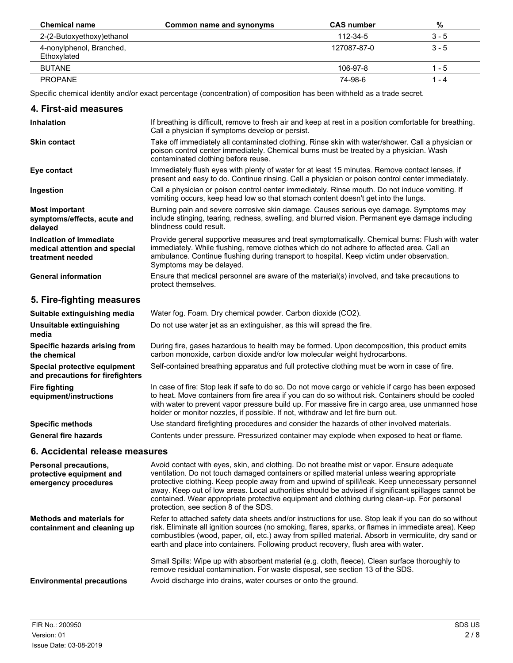| <b>Chemical name</b>                    | Common name and synonyms | <b>CAS</b> number | %       |
|-----------------------------------------|--------------------------|-------------------|---------|
| 2-(2-Butoxyethoxy) ethanol              |                          | 112-34-5          | $3 - 5$ |
| 4-nonylphenol, Branched,<br>Ethoxylated |                          | 127087-87-0       | $3 - 5$ |
| <b>BUTANE</b>                           |                          | 106-97-8          | 1 - 5   |
| <b>PROPANE</b>                          |                          | 74-98-6           | l - 4   |

Specific chemical identity and/or exact percentage (concentration) of composition has been withheld as a trade secret.

| 4. First-aid measures                                                        |                                                                                                                                                                                                                                                                                                                                                                                                                                                                                                                                             |
|------------------------------------------------------------------------------|---------------------------------------------------------------------------------------------------------------------------------------------------------------------------------------------------------------------------------------------------------------------------------------------------------------------------------------------------------------------------------------------------------------------------------------------------------------------------------------------------------------------------------------------|
| <b>Inhalation</b>                                                            | If breathing is difficult, remove to fresh air and keep at rest in a position comfortable for breathing.<br>Call a physician if symptoms develop or persist.                                                                                                                                                                                                                                                                                                                                                                                |
| <b>Skin contact</b>                                                          | Take off immediately all contaminated clothing. Rinse skin with water/shower. Call a physician or<br>poison control center immediately. Chemical burns must be treated by a physician. Wash<br>contaminated clothing before reuse.                                                                                                                                                                                                                                                                                                          |
| Eye contact                                                                  | Immediately flush eyes with plenty of water for at least 15 minutes. Remove contact lenses, if<br>present and easy to do. Continue rinsing. Call a physician or poison control center immediately.                                                                                                                                                                                                                                                                                                                                          |
| Ingestion                                                                    | Call a physician or poison control center immediately. Rinse mouth. Do not induce vomiting. If<br>vomiting occurs, keep head low so that stomach content doesn't get into the lungs.                                                                                                                                                                                                                                                                                                                                                        |
| <b>Most important</b><br>symptoms/effects, acute and<br>delayed              | Burning pain and severe corrosive skin damage. Causes serious eye damage. Symptoms may<br>include stinging, tearing, redness, swelling, and blurred vision. Permanent eye damage including<br>blindness could result.                                                                                                                                                                                                                                                                                                                       |
| Indication of immediate<br>medical attention and special<br>treatment needed | Provide general supportive measures and treat symptomatically. Chemical burns: Flush with water<br>immediately. While flushing, remove clothes which do not adhere to affected area. Call an<br>ambulance. Continue flushing during transport to hospital. Keep victim under observation.<br>Symptoms may be delayed.                                                                                                                                                                                                                       |
| <b>General information</b>                                                   | Ensure that medical personnel are aware of the material(s) involved, and take precautions to<br>protect themselves.                                                                                                                                                                                                                                                                                                                                                                                                                         |
| 5. Fire-fighting measures                                                    |                                                                                                                                                                                                                                                                                                                                                                                                                                                                                                                                             |
| Suitable extinguishing media                                                 | Water fog. Foam. Dry chemical powder. Carbon dioxide (CO2).                                                                                                                                                                                                                                                                                                                                                                                                                                                                                 |
| Unsuitable extinguishing<br>media                                            | Do not use water jet as an extinguisher, as this will spread the fire.                                                                                                                                                                                                                                                                                                                                                                                                                                                                      |
| Specific hazards arising from<br>the chemical                                | During fire, gases hazardous to health may be formed. Upon decomposition, this product emits<br>carbon monoxide, carbon dioxide and/or low molecular weight hydrocarbons.                                                                                                                                                                                                                                                                                                                                                                   |
| Special protective equipment<br>and precautions for firefighters             | Self-contained breathing apparatus and full protective clothing must be worn in case of fire.                                                                                                                                                                                                                                                                                                                                                                                                                                               |
| <b>Fire fighting</b><br>equipment/instructions                               | In case of fire: Stop leak if safe to do so. Do not move cargo or vehicle if cargo has been exposed<br>to heat. Move containers from fire area if you can do so without risk. Containers should be cooled<br>with water to prevent vapor pressure build up. For massive fire in cargo area, use unmanned hose<br>holder or monitor nozzles, if possible. If not, withdraw and let fire burn out.                                                                                                                                            |
| <b>Specific methods</b>                                                      | Use standard firefighting procedures and consider the hazards of other involved materials.                                                                                                                                                                                                                                                                                                                                                                                                                                                  |
| <b>General fire hazards</b>                                                  | Contents under pressure. Pressurized container may explode when exposed to heat or flame.                                                                                                                                                                                                                                                                                                                                                                                                                                                   |
| 6. Accidental release measures                                               |                                                                                                                                                                                                                                                                                                                                                                                                                                                                                                                                             |
| Personal precautions,<br>protective equipment and<br>emergency procedures    | Avoid contact with eyes, skin, and clothing. Do not breathe mist or vapor. Ensure adequate<br>ventilation. Do not touch damaged containers or spilled material unless wearing appropriate<br>protective clothing. Keep people away from and upwind of spill/leak. Keep unnecessary personnel<br>away. Keep out of low areas. Local authorities should be advised if significant spillages cannot be<br>contained. Wear appropriate protective equipment and clothing during clean-up. For personal<br>protection, see section 8 of the SDS. |
| <b>Methods and materials for</b><br>containment and cleaning up              | Refer to attached safety data sheets and/or instructions for use. Stop leak if you can do so without<br>risk. Eliminate all ignition sources (no smoking, flares, sparks, or flames in immediate area). Keep<br>combustibles (wood, paper, oil, etc.) away from spilled material. Absorb in vermiculite, dry sand or<br>earth and place into containers. Following product recovery, flush area with water.                                                                                                                                 |

Small Spills: Wipe up with absorbent material (e.g. cloth, fleece). Clean surface thoroughly to remove residual contamination. For waste disposal, see section 13 of the SDS.

**Environmental precautions** Avoid discharge into drains, water courses or onto the ground.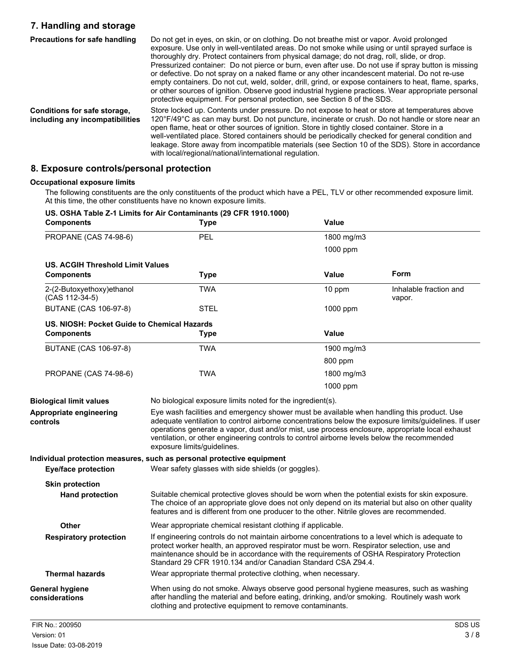# **7. Handling and storage**

| <b>Precautions for safe handling</b>                            | Do not get in eyes, on skin, or on clothing. Do not breathe mist or vapor. Avoid prolonged<br>exposure. Use only in well-ventilated areas. Do not smoke while using or until sprayed surface is<br>thoroughly dry. Protect containers from physical damage; do not drag, roll, slide, or drop.<br>Pressurized container: Do not pierce or burn, even after use. Do not use if spray button is missing<br>or defective. Do not spray on a naked flame or any other incandescent material. Do not re-use<br>empty containers. Do not cut, weld, solder, drill, grind, or expose containers to heat, flame, sparks,<br>or other sources of ignition. Observe good industrial hygiene practices. Wear appropriate personal<br>protective equipment. For personal protection, see Section 8 of the SDS. |
|-----------------------------------------------------------------|----------------------------------------------------------------------------------------------------------------------------------------------------------------------------------------------------------------------------------------------------------------------------------------------------------------------------------------------------------------------------------------------------------------------------------------------------------------------------------------------------------------------------------------------------------------------------------------------------------------------------------------------------------------------------------------------------------------------------------------------------------------------------------------------------|
| Conditions for safe storage,<br>including any incompatibilities | Store locked up. Contents under pressure. Do not expose to heat or store at temperatures above<br>120°F/49°C as can may burst. Do not puncture, incinerate or crush. Do not handle or store near an<br>open flame, heat or other sources of ignition. Store in tightly closed container. Store in a<br>well-ventilated place. Stored containers should be periodically checked for general condition and<br>leakage. Store away from incompatible materials (see Section 10 of the SDS). Store in accordance<br>with local/regional/national/international regulation.                                                                                                                                                                                                                             |

### **8. Exposure controls/personal protection**

### **Occupational exposure limits**

The following constituents are the only constituents of the product which have a PEL, TLV or other recommended exposure limit. At this time, the other constituents have no known exposure limits.

### **US. OSHA Table Z-1 Limits for Air Contaminants (29 CFR 1910.1000)**

| <b>Components</b>                                | <b>Type</b>                                                                                                                                                                                                                                                                                                                                                                                                                          | Value        |                                  |
|--------------------------------------------------|--------------------------------------------------------------------------------------------------------------------------------------------------------------------------------------------------------------------------------------------------------------------------------------------------------------------------------------------------------------------------------------------------------------------------------------|--------------|----------------------------------|
| <b>PROPANE (CAS 74-98-6)</b>                     | <b>PEL</b>                                                                                                                                                                                                                                                                                                                                                                                                                           | 1800 mg/m3   |                                  |
|                                                  |                                                                                                                                                                                                                                                                                                                                                                                                                                      | 1000 ppm     |                                  |
| <b>US. ACGIH Threshold Limit Values</b>          |                                                                                                                                                                                                                                                                                                                                                                                                                                      |              |                                  |
| <b>Components</b>                                | <b>Type</b>                                                                                                                                                                                                                                                                                                                                                                                                                          | Value        | Form                             |
| 2-(2-Butoxyethoxy) ethanol<br>(CAS 112-34-5)     | <b>TWA</b>                                                                                                                                                                                                                                                                                                                                                                                                                           | 10 ppm       | Inhalable fraction and<br>vapor. |
| <b>BUTANE (CAS 106-97-8)</b>                     | <b>STEL</b>                                                                                                                                                                                                                                                                                                                                                                                                                          | 1000 ppm     |                                  |
| US. NIOSH: Pocket Guide to Chemical Hazards      |                                                                                                                                                                                                                                                                                                                                                                                                                                      |              |                                  |
| <b>Components</b>                                | <b>Type</b>                                                                                                                                                                                                                                                                                                                                                                                                                          | <b>Value</b> |                                  |
| <b>BUTANE (CAS 106-97-8)</b>                     | <b>TWA</b>                                                                                                                                                                                                                                                                                                                                                                                                                           | 1900 mg/m3   |                                  |
|                                                  |                                                                                                                                                                                                                                                                                                                                                                                                                                      | 800 ppm      |                                  |
| <b>PROPANE (CAS 74-98-6)</b>                     | <b>TWA</b>                                                                                                                                                                                                                                                                                                                                                                                                                           | 1800 mg/m3   |                                  |
|                                                  |                                                                                                                                                                                                                                                                                                                                                                                                                                      | 1000 ppm     |                                  |
| <b>Biological limit values</b>                   | No biological exposure limits noted for the ingredient(s).                                                                                                                                                                                                                                                                                                                                                                           |              |                                  |
| Appropriate engineering<br>controls              | Eye wash facilities and emergency shower must be available when handling this product. Use<br>adequate ventilation to control airborne concentrations below the exposure limits/guidelines. If user<br>operations generate a vapor, dust and/or mist, use process enclosure, appropriate local exhaust<br>ventilation, or other engineering controls to control airborne levels below the recommended<br>exposure limits/guidelines. |              |                                  |
| <b>Eye/face protection</b>                       | Individual protection measures, such as personal protective equipment<br>Wear safety glasses with side shields (or goggles).                                                                                                                                                                                                                                                                                                         |              |                                  |
| <b>Skin protection</b><br><b>Hand protection</b> | Suitable chemical protective gloves should be worn when the potential exists for skin exposure.<br>The choice of an appropriate glove does not only depend on its material but also on other quality<br>features and is different from one producer to the other. Nitrile gloves are recommended.                                                                                                                                    |              |                                  |
| <b>Other</b>                                     | Wear appropriate chemical resistant clothing if applicable.                                                                                                                                                                                                                                                                                                                                                                          |              |                                  |
| <b>Respiratory protection</b>                    | If engineering controls do not maintain airborne concentrations to a level which is adequate to<br>protect worker health, an approved respirator must be worn. Respirator selection, use and<br>maintenance should be in accordance with the requirements of OSHA Respiratory Protection<br>Standard 29 CFR 1910.134 and/or Canadian Standard CSA Z94.4.                                                                             |              |                                  |
| <b>Thermal hazards</b>                           | Wear appropriate thermal protective clothing, when necessary.                                                                                                                                                                                                                                                                                                                                                                        |              |                                  |
| <b>General hygiene</b><br>considerations         | When using do not smoke. Always observe good personal hygiene measures, such as washing<br>after handling the material and before eating, drinking, and/or smoking. Routinely wash work<br>clothing and protective equipment to remove contaminants.                                                                                                                                                                                 |              |                                  |
| FIR No.: 200950                                  |                                                                                                                                                                                                                                                                                                                                                                                                                                      |              | SDS US                           |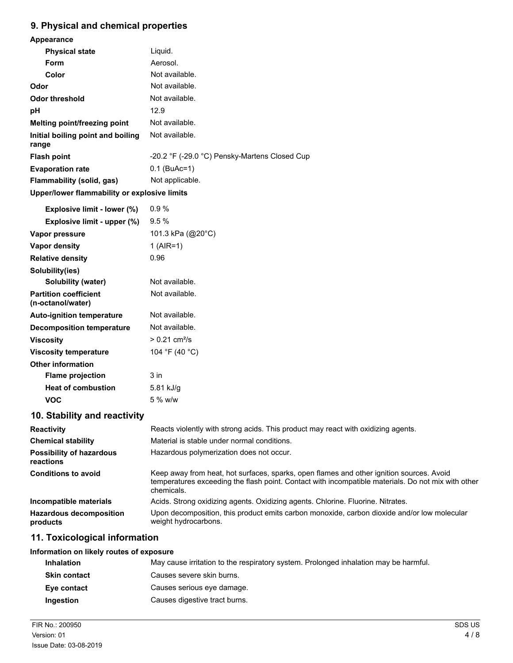# **9. Physical and chemical properties**

| Appearance                                        |                                                                                                                                                                                                              |
|---------------------------------------------------|--------------------------------------------------------------------------------------------------------------------------------------------------------------------------------------------------------------|
| <b>Physical state</b>                             | Liquid.                                                                                                                                                                                                      |
| Form                                              | Aerosol.                                                                                                                                                                                                     |
| Color                                             | Not available.                                                                                                                                                                                               |
| Odor                                              | Not available.                                                                                                                                                                                               |
| <b>Odor threshold</b>                             | Not available.                                                                                                                                                                                               |
| pH                                                | 12.9                                                                                                                                                                                                         |
| Melting point/freezing point                      | Not available.                                                                                                                                                                                               |
| Initial boiling point and boiling<br>range        | Not available.                                                                                                                                                                                               |
| <b>Flash point</b>                                | -20.2 °F (-29.0 °C) Pensky-Martens Closed Cup                                                                                                                                                                |
| <b>Evaporation rate</b>                           | $0.1$ (BuAc=1)                                                                                                                                                                                               |
| Flammability (solid, gas)                         | Not applicable.                                                                                                                                                                                              |
| Upper/lower flammability or explosive limits      |                                                                                                                                                                                                              |
| Explosive limit - lower (%)                       | 0.9%                                                                                                                                                                                                         |
| Explosive limit - upper (%)                       | 9.5%                                                                                                                                                                                                         |
| Vapor pressure                                    | 101.3 kPa (@20°C)                                                                                                                                                                                            |
| Vapor density                                     | $1 (AIR=1)$                                                                                                                                                                                                  |
| <b>Relative density</b>                           | 0.96                                                                                                                                                                                                         |
| Solubility(ies)                                   |                                                                                                                                                                                                              |
| <b>Solubility (water)</b>                         | Not available.                                                                                                                                                                                               |
| <b>Partition coefficient</b><br>(n-octanol/water) | Not available.                                                                                                                                                                                               |
| <b>Auto-ignition temperature</b>                  | Not available.                                                                                                                                                                                               |
| <b>Decomposition temperature</b>                  | Not available.                                                                                                                                                                                               |
| <b>Viscosity</b>                                  | $> 0.21$ cm <sup>2</sup> /s                                                                                                                                                                                  |
| <b>Viscosity temperature</b>                      | 104 °F (40 °C)                                                                                                                                                                                               |
| <b>Other information</b>                          |                                                                                                                                                                                                              |
| <b>Flame projection</b>                           | 3 in                                                                                                                                                                                                         |
| <b>Heat of combustion</b>                         | 5.81 kJ/g                                                                                                                                                                                                    |
| <b>VOC</b>                                        | 5 % w/w                                                                                                                                                                                                      |
| 10. Stability and reactivity                      |                                                                                                                                                                                                              |
| Reactivity                                        | Reacts violently with strong acids. This product may react with oxidizing agents.                                                                                                                            |
| <b>Chemical stability</b>                         | Material is stable under normal conditions.                                                                                                                                                                  |
| <b>Possibility of hazardous</b><br>reactions      | Hazardous polymerization does not occur.                                                                                                                                                                     |
| <b>Conditions to avoid</b>                        | Keep away from heat, hot surfaces, sparks, open flames and other ignition sources. Avoid<br>temperatures exceeding the flash point. Contact with incompatible materials. Do not mix with other<br>chemicals. |
| Incompatible materials                            | Acids. Strong oxidizing agents. Oxidizing agents. Chlorine. Fluorine. Nitrates.                                                                                                                              |
| <b>Hazardous decomposition</b><br>products        | Upon decomposition, this product emits carbon monoxide, carbon dioxide and/or low molecular<br>weight hydrocarbons.                                                                                          |
| 11. Toxicological information                     |                                                                                                                                                                                                              |

### **Information on likely routes of exposure**

| <b>Inhalation</b>   | May cause irritation to the respiratory system. Prolonged inhalation may be harmful. |
|---------------------|--------------------------------------------------------------------------------------|
| <b>Skin contact</b> | Causes severe skin burns.                                                            |
| Eye contact         | Causes serious eye damage.                                                           |
| Ingestion           | Causes digestive tract burns.                                                        |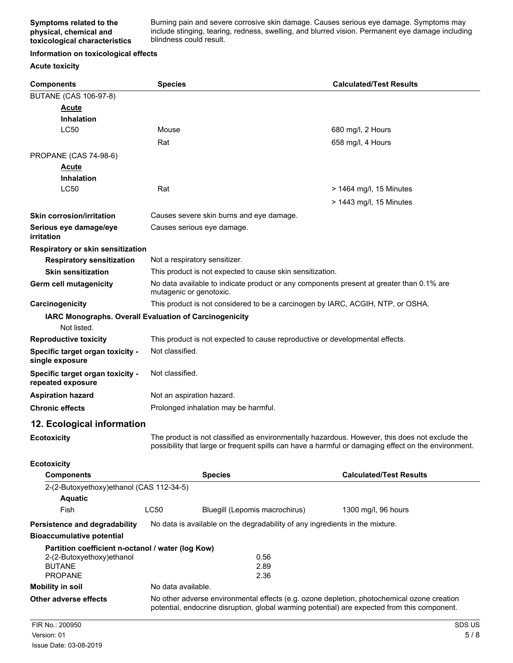Burning pain and severe corrosive skin damage. Causes serious eye damage. Symptoms may include stinging, tearing, redness, swelling, and blurred vision. Permanent eye damage including blindness could result.

#### **Information on toxicological effects**

#### **Acute toxicity**

| <b>Components</b>                                                                                                 | <b>Species</b>                |                                                                                                                                                                                            | <b>Calculated/Test Results</b>                                                                                                                                                                        |
|-------------------------------------------------------------------------------------------------------------------|-------------------------------|--------------------------------------------------------------------------------------------------------------------------------------------------------------------------------------------|-------------------------------------------------------------------------------------------------------------------------------------------------------------------------------------------------------|
| <b>BUTANE (CAS 106-97-8)</b>                                                                                      |                               |                                                                                                                                                                                            |                                                                                                                                                                                                       |
| Acute                                                                                                             |                               |                                                                                                                                                                                            |                                                                                                                                                                                                       |
| <b>Inhalation</b>                                                                                                 |                               |                                                                                                                                                                                            |                                                                                                                                                                                                       |
| <b>LC50</b>                                                                                                       | Mouse                         |                                                                                                                                                                                            | 680 mg/l, 2 Hours                                                                                                                                                                                     |
|                                                                                                                   | Rat                           |                                                                                                                                                                                            | 658 mg/l, 4 Hours                                                                                                                                                                                     |
| PROPANE (CAS 74-98-6)                                                                                             |                               |                                                                                                                                                                                            |                                                                                                                                                                                                       |
| Acute                                                                                                             |                               |                                                                                                                                                                                            |                                                                                                                                                                                                       |
| <b>Inhalation</b>                                                                                                 |                               |                                                                                                                                                                                            |                                                                                                                                                                                                       |
| <b>LC50</b>                                                                                                       | Rat                           |                                                                                                                                                                                            | $>$ 1464 mg/l, 15 Minutes                                                                                                                                                                             |
|                                                                                                                   |                               |                                                                                                                                                                                            | $>$ 1443 mg/l, 15 Minutes                                                                                                                                                                             |
| <b>Skin corrosion/irritation</b>                                                                                  |                               | Causes severe skin burns and eye damage.                                                                                                                                                   |                                                                                                                                                                                                       |
| Serious eye damage/eye<br>irritation                                                                              |                               | Causes serious eye damage.                                                                                                                                                                 |                                                                                                                                                                                                       |
| Respiratory or skin sensitization                                                                                 |                               |                                                                                                                                                                                            |                                                                                                                                                                                                       |
| <b>Respiratory sensitization</b>                                                                                  | Not a respiratory sensitizer. |                                                                                                                                                                                            |                                                                                                                                                                                                       |
| <b>Skin sensitization</b>                                                                                         |                               | This product is not expected to cause skin sensitization.                                                                                                                                  |                                                                                                                                                                                                       |
| <b>Germ cell mutagenicity</b>                                                                                     | mutagenic or genotoxic.       | No data available to indicate product or any components present at greater than 0.1% are                                                                                                   |                                                                                                                                                                                                       |
| Carcinogenicity                                                                                                   |                               | This product is not considered to be a carcinogen by IARC, ACGIH, NTP, or OSHA.                                                                                                            |                                                                                                                                                                                                       |
| <b>IARC Monographs. Overall Evaluation of Carcinogenicity</b><br>Not listed.                                      |                               |                                                                                                                                                                                            |                                                                                                                                                                                                       |
| <b>Reproductive toxicity</b>                                                                                      |                               | This product is not expected to cause reproductive or developmental effects.                                                                                                               |                                                                                                                                                                                                       |
| Specific target organ toxicity -<br>single exposure                                                               | Not classified.               |                                                                                                                                                                                            |                                                                                                                                                                                                       |
| Specific target organ toxicity -<br>repeated exposure                                                             | Not classified.               |                                                                                                                                                                                            |                                                                                                                                                                                                       |
| <b>Aspiration hazard</b>                                                                                          | Not an aspiration hazard.     |                                                                                                                                                                                            |                                                                                                                                                                                                       |
| <b>Chronic effects</b>                                                                                            |                               | Prolonged inhalation may be harmful.                                                                                                                                                       |                                                                                                                                                                                                       |
| 12. Ecological information                                                                                        |                               |                                                                                                                                                                                            |                                                                                                                                                                                                       |
| <b>Ecotoxicity</b>                                                                                                |                               |                                                                                                                                                                                            | The product is not classified as environmentally hazardous. However, this does not exclude the<br>possibility that large or frequent spills can have a harmful or damaging effect on the environment. |
| <b>Ecotoxicity</b>                                                                                                |                               |                                                                                                                                                                                            |                                                                                                                                                                                                       |
| <b>Components</b>                                                                                                 |                               | <b>Species</b>                                                                                                                                                                             | <b>Calculated/Test Results</b>                                                                                                                                                                        |
| 2-(2-Butoxyethoxy)ethanol (CAS 112-34-5)                                                                          |                               |                                                                                                                                                                                            |                                                                                                                                                                                                       |
| <b>Aquatic</b>                                                                                                    |                               |                                                                                                                                                                                            |                                                                                                                                                                                                       |
| Fish                                                                                                              | LC50                          | Bluegill (Lepomis macrochirus)                                                                                                                                                             | 1300 mg/l, 96 hours                                                                                                                                                                                   |
| Persistence and degradability                                                                                     |                               | No data is available on the degradability of any ingredients in the mixture.                                                                                                               |                                                                                                                                                                                                       |
| <b>Bioaccumulative potential</b>                                                                                  |                               |                                                                                                                                                                                            |                                                                                                                                                                                                       |
| Partition coefficient n-octanol / water (log Kow)<br>2-(2-Butoxyethoxy)ethanol<br><b>BUTANE</b><br><b>PROPANE</b> |                               | 0.56<br>2.89<br>2.36                                                                                                                                                                       |                                                                                                                                                                                                       |
| <b>Mobility in soil</b>                                                                                           | No data available.            |                                                                                                                                                                                            |                                                                                                                                                                                                       |
| <b>Other adverse effects</b>                                                                                      |                               | No other adverse environmental effects (e.g. ozone depletion, photochemical ozone creation<br>potential, endocrine disruption, global warming potential) are expected from this component. |                                                                                                                                                                                                       |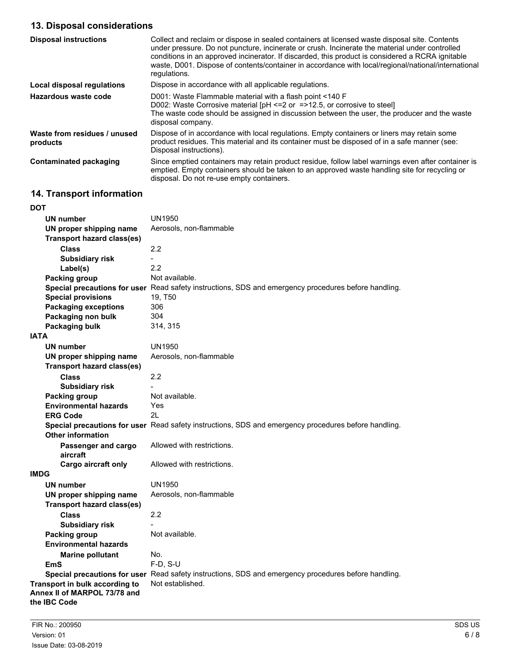# **13. Disposal considerations**

| <b>Disposal instructions</b>             | Collect and reclaim or dispose in sealed containers at licensed waste disposal site. Contents<br>under pressure. Do not puncture, incinerate or crush. Incinerate the material under controlled<br>conditions in an approved incinerator. If discarded, this product is considered a RCRA ignitable<br>waste, D001. Dispose of contents/container in accordance with local/regional/national/international<br>regulations. |
|------------------------------------------|----------------------------------------------------------------------------------------------------------------------------------------------------------------------------------------------------------------------------------------------------------------------------------------------------------------------------------------------------------------------------------------------------------------------------|
| Local disposal regulations               | Dispose in accordance with all applicable regulations.                                                                                                                                                                                                                                                                                                                                                                     |
| Hazardous waste code                     | D001: Waste Flammable material with a flash point <140 F<br>D002: Waste Corrosive material $[PH \le 2$ or $= >12.5$ , or corrosive to steel<br>The waste code should be assigned in discussion between the user, the producer and the waste<br>disposal company.                                                                                                                                                           |
| Waste from residues / unused<br>products | Dispose of in accordance with local regulations. Empty containers or liners may retain some<br>product residues. This material and its container must be disposed of in a safe manner (see:<br>Disposal instructions).                                                                                                                                                                                                     |
| Contaminated packaging                   | Since emptied containers may retain product residue, follow label warnings even after container is<br>emptied. Empty containers should be taken to an approved waste handling site for recycling or<br>disposal. Do not re-use empty containers.                                                                                                                                                                           |

# **14. Transport information**

| <b>DOT</b>                                                                     |                                                                                                      |
|--------------------------------------------------------------------------------|------------------------------------------------------------------------------------------------------|
| <b>UN number</b>                                                               | <b>UN1950</b>                                                                                        |
| UN proper shipping name                                                        | Aerosols, non-flammable                                                                              |
| <b>Transport hazard class(es)</b>                                              |                                                                                                      |
| <b>Class</b>                                                                   | 2.2                                                                                                  |
| <b>Subsidiary risk</b>                                                         |                                                                                                      |
| Label(s)                                                                       | 2.2                                                                                                  |
| <b>Packing group</b>                                                           | Not available.                                                                                       |
|                                                                                | Special precautions for user Read safety instructions, SDS and emergency procedures before handling. |
| <b>Special provisions</b>                                                      | 19, T50                                                                                              |
| <b>Packaging exceptions</b>                                                    | 306                                                                                                  |
| Packaging non bulk                                                             | 304                                                                                                  |
| Packaging bulk                                                                 | 314, 315                                                                                             |
| <b>IATA</b>                                                                    |                                                                                                      |
| <b>UN number</b>                                                               | <b>UN1950</b>                                                                                        |
| UN proper shipping name                                                        | Aerosols, non-flammable                                                                              |
| <b>Transport hazard class(es)</b>                                              |                                                                                                      |
| <b>Class</b>                                                                   | 2.2                                                                                                  |
| <b>Subsidiary risk</b>                                                         |                                                                                                      |
| Packing group                                                                  | Not available.                                                                                       |
| <b>Environmental hazards</b>                                                   | Yes                                                                                                  |
| <b>ERG Code</b>                                                                | 21                                                                                                   |
|                                                                                | Special precautions for user Read safety instructions, SDS and emergency procedures before handling. |
| Other information                                                              |                                                                                                      |
| Passenger and cargo<br>aircraft                                                | Allowed with restrictions.                                                                           |
| <b>Cargo aircraft only</b>                                                     | Allowed with restrictions.                                                                           |
| <b>IMDG</b>                                                                    |                                                                                                      |
| <b>UN number</b>                                                               | UN1950                                                                                               |
| UN proper shipping name                                                        | Aerosols, non-flammable                                                                              |
| <b>Transport hazard class(es)</b>                                              |                                                                                                      |
| Class                                                                          | 2.2                                                                                                  |
| <b>Subsidiary risk</b>                                                         |                                                                                                      |
| <b>Packing group</b>                                                           | Not available.                                                                                       |
| <b>Environmental hazards</b>                                                   |                                                                                                      |
| <b>Marine pollutant</b>                                                        | No.                                                                                                  |
| EmS                                                                            | $F-D, S-U$                                                                                           |
|                                                                                | Special precautions for user Read safety instructions, SDS and emergency procedures before handling. |
| Transport in bulk according to<br>Annex II of MARPOL 73/78 and<br>the IBC Code | Not established.                                                                                     |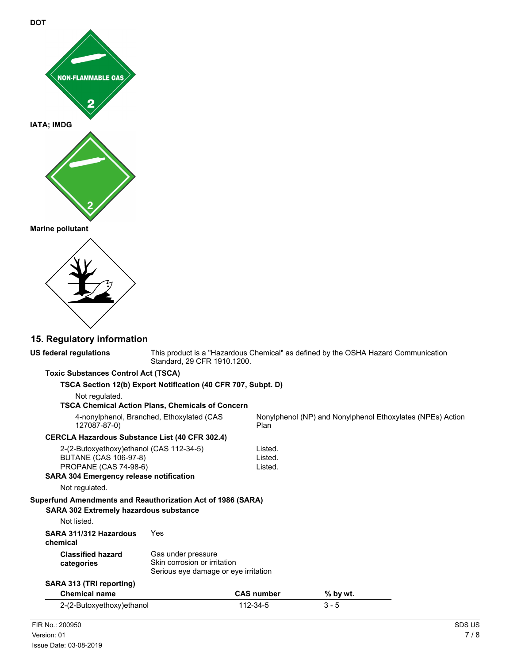



|  |  | 15. Regulatory information |
|--|--|----------------------------|
|  |  |                            |

| <b>US federal regulations</b>                                                                                                                                                                                                                                                                | Standard, 29 CFR 1910.1200.                                                                |                               | This product is a "Hazardous Chemical" as defined by the OSHA Hazard Communication |  |
|----------------------------------------------------------------------------------------------------------------------------------------------------------------------------------------------------------------------------------------------------------------------------------------------|--------------------------------------------------------------------------------------------|-------------------------------|------------------------------------------------------------------------------------|--|
| <b>Toxic Substances Control Act (TSCA)</b>                                                                                                                                                                                                                                                   |                                                                                            |                               |                                                                                    |  |
|                                                                                                                                                                                                                                                                                              | TSCA Section 12(b) Export Notification (40 CFR 707, Subpt. D)                              |                               |                                                                                    |  |
| Not regulated.                                                                                                                                                                                                                                                                               |                                                                                            |                               |                                                                                    |  |
|                                                                                                                                                                                                                                                                                              | <b>TSCA Chemical Action Plans, Chemicals of Concern</b>                                    |                               |                                                                                    |  |
| 4-nonylphenol, Branched, Ethoxylated (CAS<br>127087-87-0)                                                                                                                                                                                                                                    |                                                                                            | Plan                          | Nonylphenol (NP) and Nonylphenol Ethoxylates (NPEs) Action                         |  |
| <b>CERCLA Hazardous Substance List (40 CFR 302.4)</b>                                                                                                                                                                                                                                        |                                                                                            |                               |                                                                                    |  |
| 2-(2-Butoxyethoxy)ethanol (CAS 112-34-5)<br><b>BUTANE (CAS 106-97-8)</b><br><b>PROPANE (CAS 74-98-6)</b><br><b>SARA 304 Emergency release notification</b><br>Not regulated.<br>Superfund Amendments and Reauthorization Act of 1986 (SARA)<br><b>SARA 302 Extremely hazardous substance</b> |                                                                                            | Listed.<br>Listed.<br>Listed. |                                                                                    |  |
| Not listed.                                                                                                                                                                                                                                                                                  |                                                                                            |                               |                                                                                    |  |
| SARA 311/312 Hazardous<br>chemical                                                                                                                                                                                                                                                           | Yes                                                                                        |                               |                                                                                    |  |
| <b>Classified hazard</b><br>categories                                                                                                                                                                                                                                                       | Gas under pressure<br>Skin corrosion or irritation<br>Serious eye damage or eye irritation |                               |                                                                                    |  |
| SARA 313 (TRI reporting)                                                                                                                                                                                                                                                                     |                                                                                            |                               |                                                                                    |  |
| <b>Chemical name</b>                                                                                                                                                                                                                                                                         |                                                                                            | <b>CAS number</b>             | % by wt.                                                                           |  |
| 2-(2-Butoxyethoxy) ethanol                                                                                                                                                                                                                                                                   |                                                                                            | 112-34-5                      | $3 - 5$                                                                            |  |